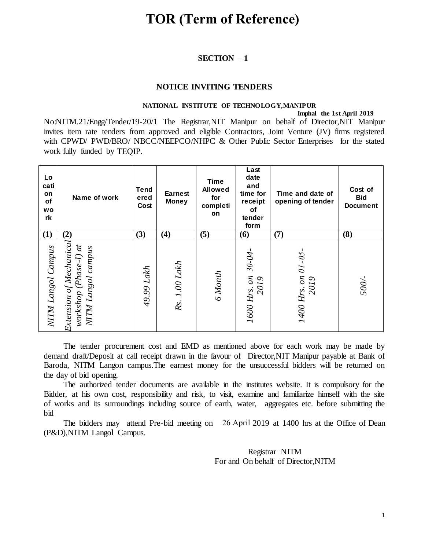## **TOR (Term of Reference)**

#### **SECTION** – **1**

#### **NOTICE INVITING TENDERS**

#### **NATIONAL INSTITUTE OF TECHNOLOGY,MANIPUR**

 **Imphal the 1st April 2019** 

No:NITM.21/Engg/Tender/19-20/1 The Registrar,NIT Manipur on behalf of Director,NIT Manipur invites item rate tenders from approved and eligible Contractors, Joint Venture (JV) firms registered with CPWD/ PWD/BRO/ NBCC/NEEPCO/NHPC & Other Public Sector Enterprises for the stated work fully funded by TEQIP.

| Lo<br>cati<br>on<br>of<br><b>WO</b><br>rk                                                                                                                                                                                                                                                                                                                                                                                                                                                                                                                                                                                                                                                                                                               | Name of work                                                           | <b>Tend</b><br>ered<br>Cost | <b>Earnest</b><br><b>Money</b> | <b>Time</b><br><b>Allowed</b><br>for<br>completi<br>on | Last<br>date<br>and<br>time for<br>receipt<br>οf<br>tender<br>form | Time and date of<br>opening of tender | Cost of<br><b>Bid</b><br><b>Document</b> |  |
|---------------------------------------------------------------------------------------------------------------------------------------------------------------------------------------------------------------------------------------------------------------------------------------------------------------------------------------------------------------------------------------------------------------------------------------------------------------------------------------------------------------------------------------------------------------------------------------------------------------------------------------------------------------------------------------------------------------------------------------------------------|------------------------------------------------------------------------|-----------------------------|--------------------------------|--------------------------------------------------------|--------------------------------------------------------------------|---------------------------------------|------------------------------------------|--|
| (1)                                                                                                                                                                                                                                                                                                                                                                                                                                                                                                                                                                                                                                                                                                                                                     |                                                                        | (3)                         | (4)                            | (5)                                                    | (6)                                                                | (7)                                   | (8)                                      |  |
| NITM Langol Campus                                                                                                                                                                                                                                                                                                                                                                                                                                                                                                                                                                                                                                                                                                                                      | Extension of Mechanical<br>workshop (Phase-I) at<br>NITM Langol campus | 49.99 Lakh                  | Rs. 1.00 Lakh                  | 6 Month                                                | 1600 Hrs. on 30-04-<br>2019                                        | 1400 Hrs. on 01-05<br>2019            | 500/-                                    |  |
| The tender procurement cost and EMD as mentioned above for each work may be made by<br>demand draft/Deposit at call receipt drawn in the favour of Director, NIT Manipur payable at Bank of<br>Baroda, NITM Langon campus. The earnest money for the unsuccessful bidders will be returned on<br>the day of bid opening.<br>The authorized tender documents are available in the institutes website. It is compulsory for the<br>Bidder, at his own cost, responsibility and risk, to visit, examine and familiarize himself with the site<br>of works and its surroundings including source of earth, water, aggregates etc. before submitting the<br>bid<br>The bidders may attend Pre-bid meeting on 26 April 2019 at 1400 hrs at the Office of Dear |                                                                        |                             |                                |                                                        |                                                                    |                                       |                                          |  |

The bidders may attend Pre-bid meeting on 26 April 2019 at 1400 hrs at the Office of Dean (P&D),NITM Langol Campus.

> Registrar NITM For and On behalf of Director,NITM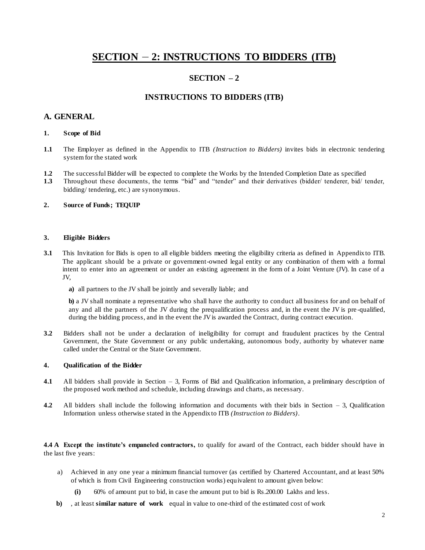## **SECTION** – **2: INSTRUCTIONS TO BIDDERS (ITB)**

### **SECTION – 2**

#### **INSTRUCTIONS TO BIDDERS (ITB)**

#### **A. GENERAL**

#### **1. Scope of Bid**

- **1.1** The Employer as defined in the Appendix to ITB *(Instruction to Bidders)* invites bids in electronic tendering system for the stated work
- **1.2** The successful Bidder will be expected to complete the Works by the Intended Completion Date as specified
- **1.3** Throughout these documents, the terms "bid" and "tender" and their derivatives (bidder/ tenderer, bid/ tender, bidding/ tendering, etc.) are synonymous.

#### **2. Source of Funds; TEQUIP**

#### **3. Eligible Bidders**

- **3.1** This Invitation for Bids is open to all eligible bidders meeting the eligibility criteria as defined in Appendix to ITB. The applicant should be a private or government-owned legal entity or any combination of them with a formal intent to enter into an agreement or under an existing agreement in the form of a Joint Venture (JV). In case of a JV,
	- **a)** all partners to the JV shall be jointly and severally liable; and

**b)** a JV shall nominate a representative who shall have the authority to con duct all business for and on behalf of any and all the partners of the JV during the prequalification process and, in the event the JV is pre -qualified, during the bidding process, and in the event the JV is awarded the Contract, during contract execution.

**3.2** Bidders shall not be under a declaration of ineligibility for corrupt and fraudulent practices by the Central Government, the State Government or any public undertaking, autonomous body, authority by whatever name called under the Central or the State Government.

#### **4. Qualification of the Bidder**

- **4.1** All bidders shall provide in Section 3, Forms of Bid and Qualification information, a preliminary description of the proposed work method and schedule, including drawings and charts, as necessary.
- **4.2** All bidders shall include the following information and documents with their bids in Section 3, Qualification Information unless otherwise stated in the Appendix to ITB *(Instruction to Bidders)*.

**4.4 A Except the institute's empaneled contractors,** to qualify for award of the Contract, each bidder should have in the last five years:

- a) Achieved in any one year a minimum financial turnover (as certified by Chartered Accountant, and at least 50% of which is from Civil Engineering construction works) equivalent to amount given below:
	- **(i)** 60% of amount put to bid, in case the amount put to bid is Rs.200.00 Lakhs and less.
- **b)** , at least **similar nature of work** equal in value to one-third of the estimated cost of work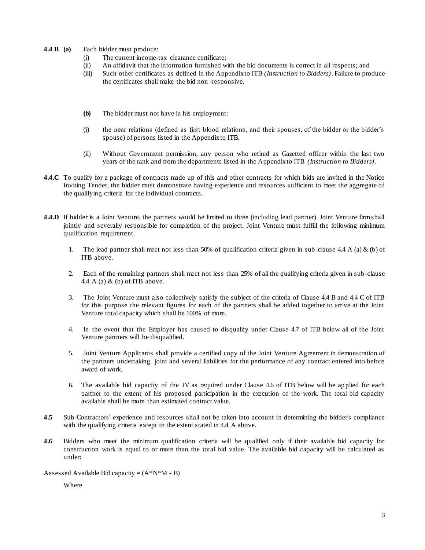#### **4.4 B (a)** Each bidder must produce:

- (i) The current income-tax clearance certificate;
- (ii) An affidavit that the information furnished with the bid documents is correct in all respects; and
- (iii) Such other certificates as defined in the Appendix to ITB *(Instruction to Bidders)*. Failure to produce the certificates shall make the bid non -responsive.
- **(b)** The bidder must not have in his employment:
- (i) the near relations (defined as first blood relations, and their spouses, of the bidder or the bidder's spouse) of persons listed in the Appendix to ITB.
- (ii) Without Government permission, any person who retired as Gazetted officer within the last two years of the rank and from the departments listed in the Appendix to ITB *(Instruction to Bidders)*.
- **4.4.C** To qualify for a package of contracts made up of this and other contracts for which bids are invited in the Notice Inviting Tender, the bidder must demonstrate having experience and resources sufficient to meet the aggregate of the qualifying criteria for the individual contracts.
- **4.4.D** If bidder is a Joint Venture, the partners would be limited to three (including lead partner). Joint Venture firm shall jointly and severally responsible for completion of the project. Joint Venture must fulfill the following minimum qualification requirement.
	- 1. The lead partner shall meet not less than 50% of qualification criteria given in sub-clause 4.4 A (a) & (b) of ITB above.
	- 2. Each of the remaining partners shall meet not less than 25% of all the qualifying criteria given in sub -clause 4.4 A (a)  $\&$  (b) of ITB above.
	- 3. The Joint Venture must also collectively satisfy the subject of the criteria of Clause 4.4 B and 4.4 C of ITB for this purpose the relevant figures for each of the partners shall be added together to arrive at the Joint Venture total capacity which shall be 100% of more.
	- 4. In the event that the Employer has caused to disqualify under Clause 4.7 of ITB below all of the Joint Venture partners will be disqualified.
	- 5. Joint Venture Applicants shall provide a certified copy of the Joint Venture Agreement in demonstration of the partners undertaking joint and several liabilities for the performance of any contract entered into before award of work.
	- 6. The available bid capacity of the JV as required under Clause 4.6 of ITB below will be ap plied for each partner to the extent of his proposed participation in the execution of the work. The total bid capacity available shall be more than estimated contract value.
- **4.5** Sub-Contractors' experience and resources shall not be taken into account in determining the bidder's compliance with the qualifying criteria except to the extent stated in 4.4 A above.
- **4.6** Bidders who meet the minimum qualification criteria will be qualified only if their available bid capacity for construction work is equal to or more than the total bid value. The available bid capacity will be calculated as under:

Assessed Available Bid capacity =  $(A*N^*M - B)$ 

Where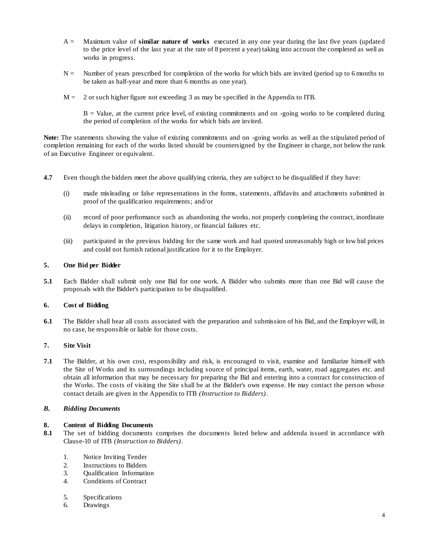- A = Maximum value of **similar nature of works** executed in any one year during the last five years (updated to the price level of the last year at the rate of 8 percent a year) taking into account the completed as well as works in progress.
- $N =$  Number of years prescribed for completion of the works for which bids are invited (period up to 6 months to be taken as half-year and more than 6 months as one year).
- $M = 2$  or such higher figure not exceeding 3 as may be specified in the Appendix to ITB.

 $B =$  Value, at the current price level, of existing commitments and on -going works to be completed during the period of completion of the works for which bids are invited.

**Note:** The statements showing the value of existing commitments and on -going works as well as the stipulated period of completion remaining for each of the works listed should be countersigned by the Engineer in charge, not below the rank of an Executive Engineer or equivalent.

- **4.7** Even though the bidders meet the above qualifying criteria, they are subject to be disqualified if they have:
	- (i) made misleading or false representations in the forms, statements, affidavits and attachments submitted in proof of the qualification requirements; and/or
	- (ii) record of poor performance such as abandoning the works, not properly completing the contract, inordinate delays in completion, litigation history, or financial failures etc.
	- (iii) participated in the previous bidding for the same work and had quoted unreasonably high or low bid prices and could not furnish rational justification for it to the Employer.

#### **5. One Bid per Bidder**

**5.1** Each Bidder shall submit only one Bid for one work. A Bidder who submits more than one Bid will cause the proposals with the Bidder's participation to be disqualified.

#### **6. Cost of Bidding**

**6.1** The Bidder shall bear all costs associated with the preparation and submission of his Bid, and the Employer will, in no case, be responsible or liable for those costs.

#### **7. Site Visit**

**7.1** The Bidder, at his own cost, responsibility and risk, is encouraged to visit, examine and familiarize himself with the Site of Works and its surroundings including source of principal items, earth, water, road aggregates etc. and obtain all information that may be necessary for preparing the Bid and entering into a contract for construction of the Works. The costs of visiting the Site shall be at the Bidder's own expense. He may contact the person whose contact details are given in the Appendix to ITB *(Instruction to Bidders)*.

#### *B. Bidding Documents*

#### **8. Content of Bidding Documents**

- **8.1** The set of bidding documents comprises the documents listed below and addenda issued in accordance with Clause-10 of ITB *(Instruction to Bidders)*.
	- 1. Notice Inviting Tender
	- 2. Instructions to Bidders
	- 3. Qualification Information
	- 4. Conditions of Contract
	- 5. Specifications
	- 6. Drawings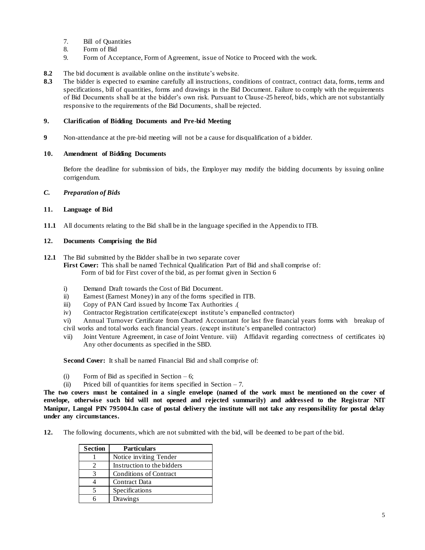- 7. Bill of Quantities
- 8. Form of Bid
- 9. Form of Acceptance, Form of Agreement, issue of Notice to Proceed with the work.
- **8.2** The bid document is available online on the institute's website.
- 8.3 The bidder is expected to examine carefully all instructions, conditions of contract, contract data, forms, terms and specifications, bill of quantities, forms and drawings in the Bid Document. Failure to comply with the requirements of Bid Documents shall be at the bidder's own risk. Pursuant to Clause-25 hereof, bids, which are not substantially responsive to the requirements of the Bid Documents, shall be rejected.

#### **9. Clarification of Bidding Documents and Pre-bid Meeting**

**9** Non-attendance at the pre-bid meeting will not be a cause for disqualification of a bidder.

#### **10. Amendment of Bidding Documents**

Before the deadline for submission of bids, the Employer may modify the bidding documents by issuing online corrigendum.

#### *C. Preparation of Bids*

#### **11. Language of Bid**

**11.1** All documents relating to the Bid shall be in the language specified in the Appendix to ITB.

#### **12. Documents Comprising the Bid**

- **12.1** The Bid submitted by the Bidder shall be in two separate cover **First Cover:** This shall be named Technical Qualification Part of Bid and shall comprise of: Form of bid for First cover of the bid, as per format given in Section 6
	- i) Demand Draft towards the Cost of Bid Document.
	- ii) Earnest (Earnest Money) in any of the forms specified in ITB.
	- iii) Copy of PAN Card issued by Income Tax Authorities .(
	- iv) Contractor Registration certificate(except institute's empanelled contractor)
	- vi) Annual Turnover Certificate from Charted Accountant for last five financial years forms with breakup of civil works and total works each financial years. (except institute's empanelled contractor)
	- vii) Joint Venture Agreement, in case of Joint Venture. viii) Affidavit regarding correctness of certificates ix) Any other documents as specified in the SBD.

**Second Cover:** It shall be named Financial Bid and shall comprise of:

- (i) Form of Bid as specified in Section  $-6$ ;
- (ii) Priced bill of quantities for items specified in Section  $-7$ .

**The two covers must be contained in a single envelope (named of the work must be mentioned on the cover of envelope, otherwise such bid will not opened and rejected summarily) and addressed to the Registrar NIT Manipur, Langol PIN 795004.In case of postal delivery the institute will not take any responsibility for postal delay under any circumstances.**

**12.** The following documents, which are not submitted with the bid, will be deemed to be part of the bid.

| <b>Section</b> | <b>Particulars</b>         |
|----------------|----------------------------|
|                | Notice inviting Tender     |
|                | Instruction to the bidders |
|                | Conditions of Contract     |
|                | Contract Data              |
|                | Specifications             |
|                | Drawings                   |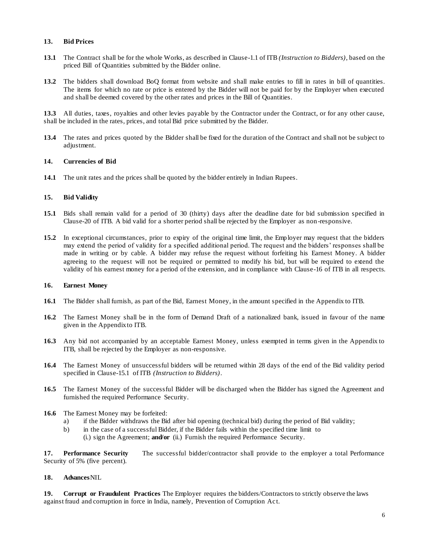#### **13. Bid Prices**

- **13.1** The Contract shall be for the whole Works, as described in Clause-1.1 of ITB *(Instruction to Bidders)*, based on the priced Bill of Quantities submitted by the Bidder online.
- **13.2** The bidders shall download BoQ format from website and shall make entries to fill in rates in bill of quantities. The items for which no rate or price is entered by the Bidder will not be paid for by the Employer when executed and shall be deemed covered by the other rates and prices in the Bill of Quantities.

**13.3** All duties, taxes, royalties and other levies payable by the Contractor under the Contract, or for any other cause, shall be included in the rates, prices, and total Bid price submitted by the Bidder.

**13.4** The rates and prices quoted by the Bidder shall be fixed for the duration of the Contract and shall not be subject to adjustment.

#### **14. Currencies of Bid**

**14.1** The unit rates and the prices shall be quoted by the bidder entirely in Indian Rupees.

#### **15. Bid Validity**

- **15.1** Bids shall remain valid for a period of 30 (thirty) days after the deadline date for bid submission specified in Clause-20 of ITB. A bid valid for a shorter period shall be rejected by the Employer as non-responsive.
- **15.2** In exceptional circumstances, prior to expiry of the original time limit, the Employer may request that the bidders may extend the period of validity for a specified additional period. The request and the bidders' responses shall be made in writing or by cable. A bidder may refuse the request without forfeiting his Earnest Money. A bidder agreeing to the request will not be required or permitted to modify his bid, but will be required to extend the validity of his earnest money for a period of the extension, and in compliance with Clause-16 of ITB in all respects.

#### **16. Earnest Money**

- **16.1** The Bidder shall furnish, as part of the Bid, Earnest Money, in the amount specified in the Appendix to ITB.
- **16.2** The Earnest Money shall be in the form of Demand Draft of a nationalized bank, issued in favour of the name given in the Appendix to ITB.
- **16.3** Any bid not accompanied by an acceptable Earnest Money, unless exempted in terms given in the Appendix to ITB, shall be rejected by the Employer as non-responsive.
- **16.4** The Earnest Money of unsuccessful bidders will be returned within 28 days of the end of the Bid validity period specified in Clause-15.1 of ITB *(Instruction to Bidders)*.
- **16.5** The Earnest Money of the successful Bidder will be discharged when the Bidder has signed the Agreement and furnished the required Performance Security.
- **16.6** The Earnest Money may be forfeited:
	- a) if the Bidder withdraws the Bid after bid opening (technical bid) during the period of Bid validity;
	- b) in the case of a successful Bidder, if the Bidder fails within the specified time limit to
		- (i.) sign the Agreement; **and/or** (ii.) Furnish the required Performance Security.

**17. Performance Security** The successful bidder/contractor shall provide to the employer a total Performance Security of 5% (five percent).

#### **18. Advances**NIL

**19. Corrupt or Fraudulent Practices** The Employer requires the bidders/Contractors to strictly observe the laws against fraud and corruption in force in India, namely, Prevention of Corruption Act.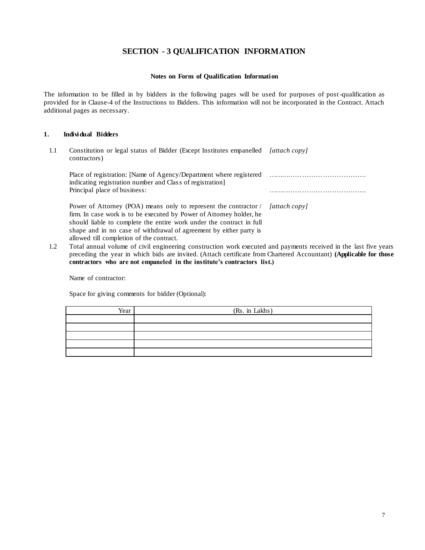### **SECTION - 3 QUALIFICATION INFORMATION**

#### **Notes on Form of Qualification Information**

The information to be filled in by bidders in the following pages will be used for purposes of post-qualification as provided for in Clause-4 of the Instructions to Bidders. This information will not be incorporated in the Contract. Attach additional pages as necessary.

#### **1. Individual Bidders**

1.1 Constitution or legal status of Bidder (Except Institutes empanelled *[attach copy]* contractors)

Place of registration: [Name of Agency/Department where registered indicating registration number and Class of registration] ……………………………………. Principal place of business: we have a set of business:

*[attach copy]*

- Power of Attorney (POA) means only to represent the contractor / firm. In case work is to be executed by Power of Attorney holder, he should liable to complete the entire work under the contract in full shape and in no case of withdrawal of agreement by either party is allowed till completion of the contract.
- 1.2 Total annual volume of civil engineering construction work executed and payments received in the last five years preceding the year in which bids are invited. (Attach certificate from Chartered Accountant) **(Applicable for those contractors who are not empaneled in the institute's contractors list.)**

Name of contractor:

Space for giving comments for bidder (Optional):

| Year | (Rs. in Lakhs) |
|------|----------------|
|      |                |
|      |                |
|      |                |
|      |                |
|      |                |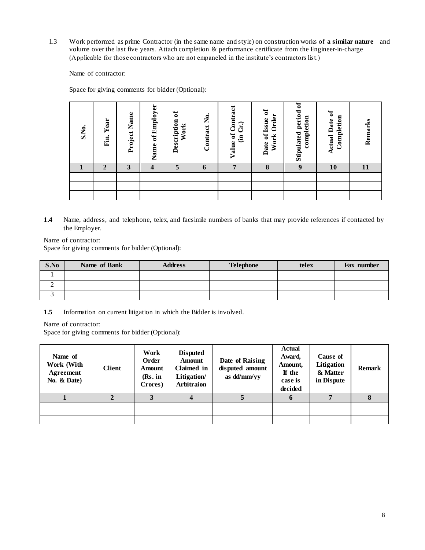1.3 Work performed as prime Contractor (in the same name and style) on construction works of **a similar nature** and volume over the last five years. Attach completion & performance certificate from the Engineer-in-charge (Applicable for those contractors who are not empaneled in the institute's contractors list.)

Name of contractor:

Space for giving comments for bidder (Optional):

| S.No. | Year<br>Fin.   | Project Name | of Employer<br>Name | $\mathfrak{b}$<br>Description<br>Work | Contract No. | Contract<br>Cr<br>$\ddot{\phantom{a}}$<br>$\ddot{a}$<br>Value | $\sigma$<br>Order<br>of Issue<br>Work<br>Date | ៩<br>period<br>completion<br>Stipulated | <b>Actual Date of</b><br>Completion | Remarks |
|-------|----------------|--------------|---------------------|---------------------------------------|--------------|---------------------------------------------------------------|-----------------------------------------------|-----------------------------------------|-------------------------------------|---------|
|       | $\overline{2}$ | 3            | $\overline{4}$      | 5                                     | 6            | 7                                                             | 8                                             | 9                                       | 10                                  | 11      |
|       |                |              |                     |                                       |              |                                                               |                                               |                                         |                                     |         |
|       |                |              |                     |                                       |              |                                                               |                                               |                                         |                                     |         |
|       |                |              |                     |                                       |              |                                                               |                                               |                                         |                                     |         |

**1.4** Name, address, and telephone, telex, and facsimile numbers of banks that may provide references if contacted by the Employer.

Name of contractor:

Space for giving comments for bidder (Optional):

| S.No | Name of Bank | <b>Address</b> | <b>Telephone</b> | telex | Fax number |
|------|--------------|----------------|------------------|-------|------------|
|      |              |                |                  |       |            |
| ∼    |              |                |                  |       |            |
|      |              |                |                  |       |            |

**1.5** Information on current litigation in which the Bidder is involved.

Name of contractor:

Space for giving comments for bidder (Optional):

| Name of<br>Work (With<br>Agreement<br>No. $& Date)$ | <b>Client</b> | Work<br>Order<br>Amount<br>(Rs. in<br>Crores) | <b>Disputed</b><br><b>Amount</b><br>Claimed in<br>Litigation/<br><b>Arbitraion</b> | Date of Raising<br>disputed amount<br>as dd/mm/yy | <b>Actual</b><br>Award,<br>Amount,<br>If the<br>case is<br>decided | <b>Cause of</b><br>Litigation<br>& Matter<br>in Dispute | <b>Remark</b> |
|-----------------------------------------------------|---------------|-----------------------------------------------|------------------------------------------------------------------------------------|---------------------------------------------------|--------------------------------------------------------------------|---------------------------------------------------------|---------------|
|                                                     |               |                                               | 4                                                                                  |                                                   | 6                                                                  |                                                         |               |
|                                                     |               |                                               |                                                                                    |                                                   |                                                                    |                                                         |               |
|                                                     |               |                                               |                                                                                    |                                                   |                                                                    |                                                         |               |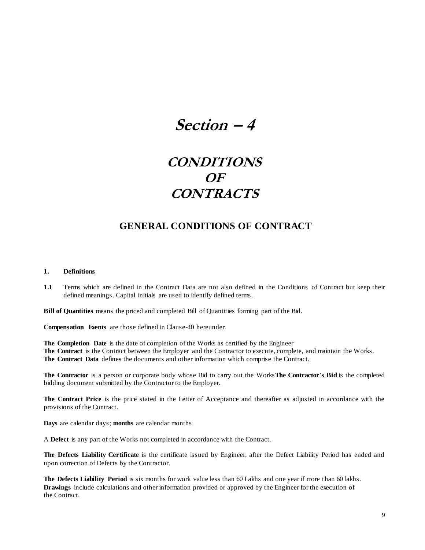## **Section – 4**

## **CONDITIONS OF CONTRACTS**

## **GENERAL CONDITIONS OF CONTRACT**

#### **1. Definitions**

**1.1** Terms which are defined in the Contract Data are not also defined in the Conditions of Contract but keep their defined meanings. Capital initials are used to identify defined terms.

**Bill of Quantities** means the priced and completed Bill of Quantities forming part of the Bid.

**Compensation Events** are those defined in Clause-40 hereunder.

**The Completion Date** is the date of completion of the Works as certified by the Engineer **The Contract** is the Contract between the Employer and the Contractor to execute, complete, and maintain the Works. **The Contract Data** defines the documents and other information which comprise the Contract.

**The Contractor** is a person or corporate body whose Bid to carry out the Works**The Contractor's Bid** is the completed bidding document submitted by the Contractor to the Employer.

**The Contract Price** is the price stated in the Letter of Acceptance and thereafter as adjusted in accordance with the provisions of the Contract.

**Days** are calendar days; **months** are calendar months.

A **Defect** is any part of the Works not completed in accordance with the Contract.

**The Defects Liability Certificate** is the certificate issued by Engineer, after the Defect Liability Period has ended and upon correction of Defects by the Contractor.

**The Defects Liability Period** is six months for work value less than 60 Lakhs and one year if more than 60 lakhs. **Drawings** include calculations and other information provided or approved by the Engineer for the execution of the Contract.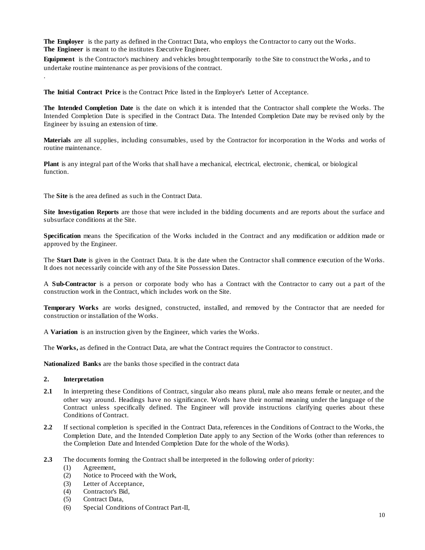**The Employer** is the party as defined in the Contract Data, who employs the Contractor to carry out the Works. **The Engineer** is meant to the institutes Executive Engineer.

**Equipment** is the Contractor's machinery and vehicles brought temporarily to the Site to construct the Works, and to undertake routine maintenance as per provisions of the contract.

**The Initial Contract Price** is the Contract Price listed in the Employer's Letter of Acceptance.

**The Intended Completion Date** is the date on which it is intended that the Contractor shall complete the Works. The Intended Completion Date is specified in the Contract Data. The Intended Completion Date may be revised only by the Engineer by issuing an extension of time.

**Materials** are all supplies, including consumables, used by the Contractor for incorporation in the Works and works of routine maintenance.

**Plant** is any integral part of the Works that shall have a mechanical, electrical, electronic, chemical, or biological function.

The **Site** is the area defined as such in the Contract Data.

**Site Investigation Reports** are those that were included in the bidding documents and are reports about the surface and subsurface conditions at the Site.

**Specification** means the Specification of the Works included in the Contract and any modification or addition made or approved by the Engineer.

The **Start Date** is given in the Contract Data. It is the date when the Contractor shall commence execution of the Works. It does not necessarily coincide with any of the Site Possession Dates.

A **Sub-Contractor** is a person or corporate body who has a Contract with the Contractor to carry out a part of the construction work in the Contract, which includes work on the Site.

**Temporary Works** are works designed, constructed, installed, and removed by the Contractor that are needed for construction or installation of the Works.

A **Variation** is an instruction given by the Engineer, which varies the Works.

The **Works,** as defined in the Contract Data, are what the Contract requires the Contractor to construct.

**Nationalized Banks** are the banks those specified in the contract data

#### **2. Interpretation**

.

- **2.1** In interpreting these Conditions of Contract, singular also means plural, male also means female or neuter, and the other way around. Headings have no significance. Words have their normal meaning under the language of the Contract unless specifically defined. The Engineer will provide instructions clarifying queries about these Conditions of Contract.
- **2.2** If sectional completion is specified in the Contract Data, references in the Conditions of Contract to the Works, the Completion Date, and the Intended Completion Date apply to any Section of the Works (other than references to the Completion Date and Intended Completion Date for the whole of the Works).
- **2.3** The documents forming the Contract shall be interpreted in the following order of priority:
	- (1) Agreement,
	- (2) Notice to Proceed with the Work,
	- (3) Letter of Acceptance,
	- (4) Contractor's Bid,
	- (5) Contract Data,
	- (6) Special Conditions of Contract Part-II,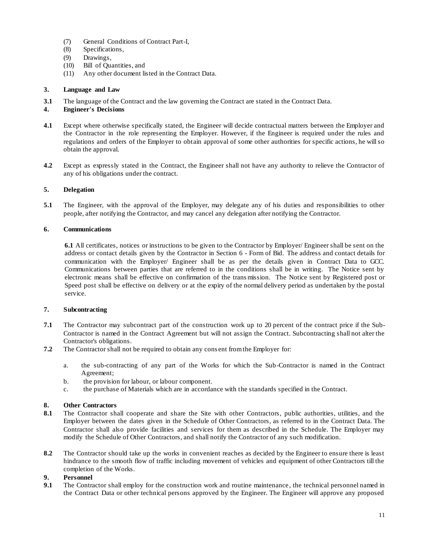- (7) General Conditions of Contract Part-I,
- (8) Specifications,
- (9) Drawings,
- (10) Bill of Quantities, and
- (11) Any other document listed in the Contract Data.

#### **3. Language and Law**

**3.1** The language of the Contract and the law governing the Contract are stated in the Contract Data.

#### **4. Engineer's Decisions**

- **4.1** Except where otherwise specifically stated, the Engineer will decide contractual matters between the Employer and the Contractor in the role representing the Employer. However, if the Engineer is required under the rules and regulations and orders of the Employer to obtain approval of some other authorities for specific actions, he will so obtain the approval.
- **4.2** Except as expressly stated in the Contract, the Engineer shall not have any authority to relieve the Contractor of any of his obligations under the contract.

#### **5. Delegation**

**5.1** The Engineer, with the approval of the Employer, may delegate any of his duties and responsibilities to other people, after notifying the Contractor, and may cancel any delegation after notifying the Contractor.

#### **6. Communications**

**6.1** All certificates, notices or instructions to be given to the Contractor by Employer/ Engineer shall be sent on the address or contact details given by the Contractor in Section 6 - Form of Bid. The address and contact details for communication with the Employer/ Engineer shall be as per the details given in Contract Data to GCC. Communications between parties that are referred to in the conditions shall be in writing. The Notice sent by electronic means shall be effective on confirmation of the transmission. The Notice sent by Registered post or Speed post shall be effective on delivery or at the expiry of the normal delivery period as undertaken by the postal service.

#### **7. Subcontracting**

- **7.1** The Contractor may subcontract part of the construction work up to 20 percent of the contract price if the Sub-Contractor is named in the Contract Agreement but will not assign the Contract. Subcontracting shall not alter the Contractor's obligations.
- **7.2** The Contractor shall not be required to obtain any cons ent from the Employer for:
	- a. the sub-contracting of any part of the Works for which the Sub-Contractor is named in the Contract Agreement;
	- b. the provision for labour, or labour component.
	- c. the purchase of Materials which are in accordance with the standards specified in the Contract.

#### **8. Other Contractors**

- **8.1** The Contractor shall cooperate and share the Site with other Contractors, public authorities, utilities, and the Employer between the dates given in the Schedule of Other Contractors, as referred to in the Contract Data. The Contractor shall also provide facilities and services for them as described in the Schedule. The Employer may modify the Schedule of Other Contractors, and shall notify the Contractor of any such modification.
- **8.2** The Contractor should take up the works in convenient reaches as decided by the Engineer to ensure there is least hindrance to the smooth flow of traffic including movement of vehicles and equipment of other Contractors till the completion of the Works.

#### **9. Personnel**

**9.1** The Contractor shall employ for the construction work and routine maintenance, the technical personnel named in the Contract Data or other technical persons approved by the Engineer. The Engineer will approve any proposed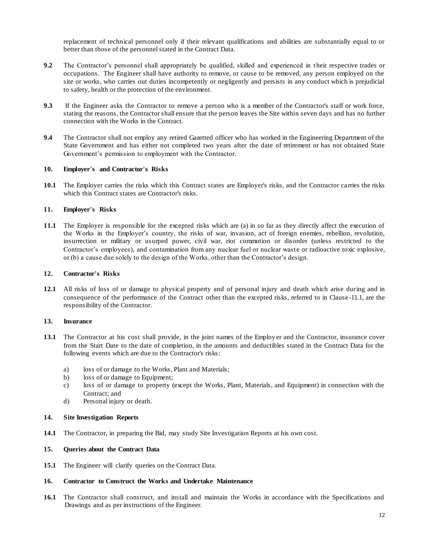replacement of technical personnel only if their relevant qualifications and abilities are substantially equal to or better than those of the personnel stated in the Contract Data.

- **9.2** The Contractor's personnel shall appropriately be qualified, skilled and experienced in their respective trades or occupations. The Engineer shall have authority to remove, or cause to be removed, any person employed on the site or works, who carries out duties incompetently or negligently and persists in any conduct which is prejudicial to safety, health or the protection of the environment.
- **9.3** If the Engineer asks the Contractor to remove a person who is a member of the Contractor's staff or work force, stating the reasons, the Contractor shall ensure that the person leaves the Site within seven days and has no further connection with the Works in the Contract.
- **9.4** The Contractor shall not employ any retired Gazetted officer who has worked in the Engineering Department of the State Government and has either not completed two years after the date of retirement or has not obtained State Government's permission to employment with the Contractor.

#### **10. Employer's and Contractor's Risks**

**10.1** The Employer carries the risks which this Contract states are Employer's risks, and the Contractor carries the risks which this Contract states are Contractor's risks.

#### **11. Employer's Risks**

**11.1** The Employer is responsible for the excepted risks which are (a) in so far as they directly affect the execution of the Works in the Employer's country, the risks of war, invasion, act of foreign enemies, rebellion, revolution, insurrection or military or usurped power, civil war, riot commotion or disorder (unless restricted to the Contractor's employees), and contamination from any nuclear fuel or nuclear waste or radioactive toxic explosive, or (b) a cause due solely to the design of the Works, other than the Contractor's design.

#### **12. Contractor's Risks**

**12.1** All risks of loss of or damage to physical property and of personal injury and death which arise during and in consequence of the performance of the Contract other than the excepted risks, referred to in Clause -11.1, are the responsibility of the Contractor.

#### **13. Insurance**

- **13.1** The Contractor at his cost shall provide, in the joint names of the Employer and the Contractor, insurance cover from the Start Date to the date of completion, in the amounts and deductibles stated in the Contract Data for the following events which are due to the Contractor's risks:
	- a) loss of or damage to the Works, Plant and Materials;
	- b) loss of or damage to Equipment;
	- c) loss of or damage to property (except the Works, Plant, Materials, and Equipment) in connection with the Contract; and
	- d) Personal injury or death.

#### **14. Site Investigation Reports**

**14.1** The Contractor, in preparing the Bid, may study Site Investigation Reports at his own cost.

#### **15. Queries about the Contract Data**

**15.1** The Engineer will clarify queries on the Contract Data.

#### **16. Contractor to Construct the Works and Undertake Maintenance**

**16.1** The Contractor shall construct, and install and maintain the Works in accordance with the Specifications and Drawings and as per instructions of the Engineer.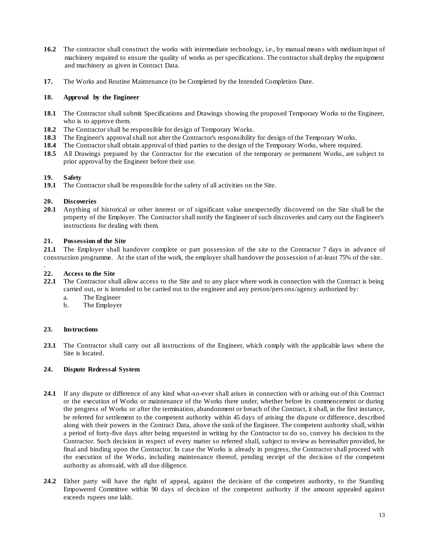- **16.2** The contractor shall construct the works with intermediate technology, i.e., by manual means with medium input of machinery required to ensure the quality of works as per specifications. The contractor shall deploy the equipment and machinery as given in Contract Data.
- **17.** The Works and Routine Maintenance (to be Completed by the Intended Completion Date.

#### **18. Approval by the Engineer**

- **18.1** The Contractor shall submit Specifications and Drawings showing the proposed Temporary Works to the Engineer, who is to approve them.
- **18.2** The Contractor shall be responsible for design of Temporary Works.
- **18.3** The Engineer's approval shall not alter the Contractor's responsibility for design of the Temporary Works.
- **18.4** The Contractor shall obtain approval of third parties to the design of the Temporary Works, where required.
- **18.5** All Drawings prepared by the Contractor for the execution of the temporary or permanent Works, are subject to prior approval by the Engineer before their use.

#### **19. Safety**

**19.1** The Contractor shall be responsible for the safety of all activities on the Site.

#### **20. Discoveries**

**20.1** Anything of historical or other interest or of significant value unexpectedly discovered on the Site shall be the property of the Employer. The Contractor shall notify the Engineer of such discoveries and carry out the Engineer's instructions for dealing with them.

#### **21. Possession of the Site**

**21.1** The Employer shall handover complete or part possession of the site to the Contractor 7 days in advance of construction programme. At the start of the work, the employer shall handover the possession o f at-least 75% of the site.

#### . **22. Access to the Site**

- **22.1** The Contractor shall allow access to the Site and to any place where work in connection with the Contract is being carried out, or is intended to be carried out to the engineer and any person/pers ons/agency authorized by:
	- a. The Engineer
	- b. The Employer

#### **23. Instructions**

**23.1** The Contractor shall carry out all instructions of the Engineer, which comply with the applicable laws where the Site is located.

#### **24. Dispute Redressal System**

- **24.1** If any dispute or difference of any kind what-so-ever shall arises in connection with or arising out of this Contract or the execution of Works or maintenance of the Works there under, whether before its commencement or during the progress of Works or after the termination, abandonment or breach of the Contract, it shall, in the first instance, be referred for settlement to the competent authority within 45 days of arising the dispute or difference, described along with their powers in the Contract Data, above the rank of the Engineer. The competent authority shall, within a period of forty-five days after being requested in writing by the Contractor to do so, convey his decision to the Contractor. Such decision in respect of every matter so referred shall, subject to review as hereinafter provided, be final and binding upon the Contractor. In case the Works is already in progress, the Contractor shall proceed with the execution of the Works, including maintenance thereof, pending receipt of the decision of the competent authority as aforesaid, with all due diligence.
- **24.2** Either party will have the right of appeal, against the decision of the competent authority, to the Standing Empowered Committee within 90 days of decision of the competent authority if the amount appealed against exceeds rupees one lakh.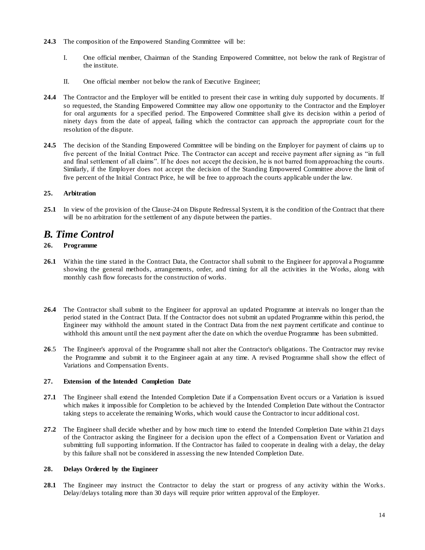- **24.3** The composition of the Empowered Standing Committee will be:
	- I. One official member, Chairman of the Standing Empowered Committee, not below the rank of Registrar of the institute.
	- II. One official member not below the rank of Executive Engineer;
- **24.4** The Contractor and the Employer will be entitled to present their case in writing duly supported by documents. If so requested, the Standing Empowered Committee may allow one opportunity to the Contractor and the Employer for oral arguments for a specified period. The Empowered Committee shall give its decision within a period of ninety days from the date of appeal, failing which the contractor can approach the appropriate court for the resolution of the dispute.
- **24.5** The decision of the Standing Empowered Committee will be binding on the Employer for payment of claims up to five percent of the Initial Contract Price. The Contractor can accept and receive payment after signing as "in full and final settlement of all claims". If he does not accept the decision, he is not barred from approaching the courts. Similarly, if the Employer does not accept the decision of the Standing Empowered Committee above the limit of five percent of the Initial Contract Price, he will be free to approach the courts applicable under the law.

#### **25. Arbitration**

**25.1** In view of the provision of the Clause-24 on Dispute Redressal System, it is the condition of the Contract that there will be no arbitration for the settlement of any dispute between the parties.

## *B. Time Control*

#### **26. Programme**

- **26.1** Within the time stated in the Contract Data, the Contractor shall submit to the Engineer for approval a Programme showing the general methods, arrangements, order, and timing for all the activities in the Works, along with monthly cash flow forecasts for the construction of works.
- **26.4** The Contractor shall submit to the Engineer for approval an updated Programme at intervals no longer than the period stated in the Contract Data. If the Contractor does not submit an updated Programme within this period, the Engineer may withhold the amount stated in the Contract Data from the next payment certificate and continue to withhold this amount until the next payment after the date on which the overdue Programme has been submitted.
- **26**.5 The Engineer's approval of the Programme shall not alter the Contractor's obligations. The Contractor may revise the Programme and submit it to the Engineer again at any time. A revised Programme shall show the effect of Variations and Compensation Events.

#### **27. Extension of the Intended Completion Date**

- **27.1** The Engineer shall extend the Intended Completion Date if a Compensation Event occurs or a Variation is issued which makes it impossible for Completion to be achieved by the Intended Completion Date without the Contractor taking steps to accelerate the remaining Works, which would cause the Contractor to incur additional cost.
- **27.2** The Engineer shall decide whether and by how much time to extend the Intended Completion Date within 21 days of the Contractor asking the Engineer for a decision upon the effect of a Compensation Event or Variation and submitting full supporting information. If the Contractor has failed to cooperate in dealing with a delay, the delay by this failure shall not be considered in assessing the new Intended Completion Date.

#### **28. Delays Ordered by the Engineer**

**28.1** The Engineer may instruct the Contractor to delay the start or progress of any activity within the Works. Delay/delays totaling more than 30 days will require prior written approval of the Employer.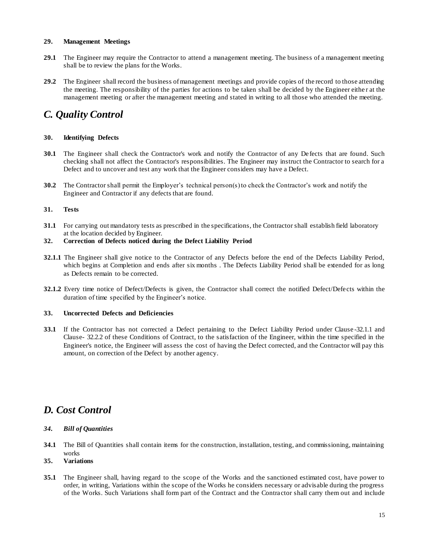#### **29. Management Meetings**

- **29.1** The Engineer may require the Contractor to attend a management meeting. The business of a management meeting shall be to review the plans for the Works.
- **29.2** The Engineer shall record the business of management meetings and provide copies of the record to those attending the meeting. The responsibility of the parties for actions to be taken shall be decided by the Engineer eithe r at the management meeting or after the management meeting and stated in writing to all those who attended the meeting.

## *C. Quality Control*

#### **30. Identifying Defects**

- **30.1** The Engineer shall check the Contractor's work and notify the Contractor of any De fects that are found. Such checking shall not affect the Contractor's responsibilities. The Engineer may instruct the Contractor to search for a Defect and to uncover and test any work that the Engineer considers may have a Defect.
- **30.2** The Contractor shall permit the Employer's technical person(s) to check the Contractor's work and notify the Engineer and Contractor if any defects that are found.

#### **31. Tests**

**31.1** For carrying out mandatory tests as prescribed in the specifications, the Contractor shall establish field laboratory at the location decided by Engineer.

#### **32. Correction of Defects noticed during the Defect Liability Period**

- **32.1.1** The Engineer shall give notice to the Contractor of any Defects before the end of the Defects Liability Period, which begins at Completion and ends after six months . The Defects Liability Period shall be extended for as long as Defects remain to be corrected.
- **32.1.2** Every time notice of Defect/Defects is given, the Contractor shall correct the notified Defect/Defe cts within the duration of time specified by the Engineer's notice.

#### **33. Uncorrected Defects and Deficiencies**

**33.1** If the Contractor has not corrected a Defect pertaining to the Defect Liability Period under Clause -32.1.1 and Clause- 32.2.2 of these Conditions of Contract, to the satisfaction of the Engineer, within the time specified in the Engineer's notice, the Engineer will assess the cost of having the Defect corrected, and the Contractor will pay this amount, on correction of the Defect by another agency.

## *D. Cost Control*

- *34. Bill of Quantities*
- **34.1** The Bill of Quantities shall contain items for the construction, installation, testing, and commissioning, maintaining works

#### **35. Variations**

**35.1** The Engineer shall, having regard to the scope of the Works and the sanctioned estimated cost, have power to order, in writing, Variations within the scope of the Works he considers necessary or advisable during the progress of the Works. Such Variations shall form part of the Contract and the Contractor shall carry them out and include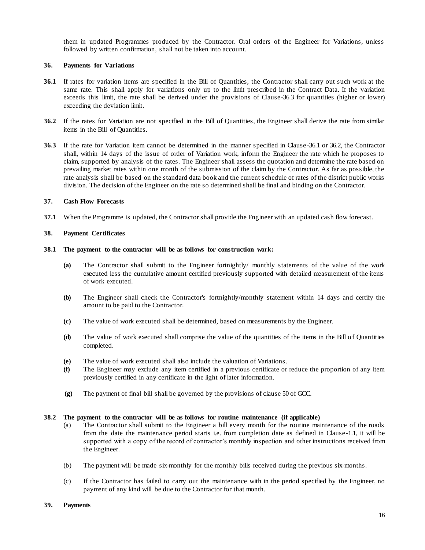them in updated Programmes produced by the Contractor. Oral orders of the Engineer for Variations, unless followed by written confirmation, shall not be taken into account.

#### **36. Payments for Variations**

- **36.1** If rates for variation items are specified in the Bill of Quantities, the Contractor shall carry out such work at the same rate. This shall apply for variations only up to the limit prescribed in the Contract Data. If the variation exceeds this limit, the rate shall be derived under the provisions of Clause-36.3 for quantities (higher or lower) exceeding the deviation limit.
- **36.2** If the rates for Variation are not specified in the Bill of Quantities, the Engineer shall derive the rate from similar items in the Bill of Quantities.
- **36.3** If the rate for Variation item cannot be determined in the manner specified in Clause-36.1 or 36.2, the Contractor shall, within 14 days of the issue of order of Variation work, inform the Engineer the rate which he proposes to claim, supported by analysis of the rates. The Engineer shall assess the quotation and determine the rate based on prevailing market rates within one month of the submission of the claim by the Contractor. As far as possible, the rate analysis shall be based on the standard data book and the current schedule of rates of the district public works division. The decision of the Engineer on the rate so determined shall be final and binding on the Contractor.

#### **37. Cash Flow Forecasts**

**37.1** When the Programme is updated, the Contractor shall provide the Engineer with an updated cash flow forecast.

#### **38. Payment Certificates**

#### **38.1 The payment to the contractor will be as follows for construction work:**

- **(a)** The Contractor shall submit to the Engineer fortnightly/ monthly statements of the value of the work executed less the cumulative amount certified previously supported with detailed measurement of the items of work executed.
- **(b)** The Engineer shall check the Contractor's fortnightly/monthly statement within 14 days and certify the amount to be paid to the Contractor.
- **(c)** The value of work executed shall be determined, based on measurements by the Engineer.
- **(d)** The value of work executed shall comprise the value of the quantities of the items in the Bill o f Quantities completed.
- **(e)** The value of work executed shall also include the valuation of Variations.
- **(f)** The Engineer may exclude any item certified in a previous certificate or reduce the proportion of any item previously certified in any certificate in the light of later information.
- **(g)** The payment of final bill shall be governed by the provisions of clause 50 of GCC.

#### **38.2 The payment to the contractor will be as follows for routine maintenance (if applicable)**

- (a) The Contractor shall submit to the Engineer a bill every month for the routine maintenance of the roads from the date the maintenance period starts i.e. from completion date as defined in Clause -1.1, it will be supported with a copy of the record of contractor's monthly inspection and other instructions received from the Engineer.
- (b) The payment will be made six-monthly for the monthly bills received during the previous six-months.
- (c) If the Contractor has failed to carry out the maintenance with in the period specified by the Engineer, no payment of any kind will be due to the Contractor for that month.

#### **39. Payments**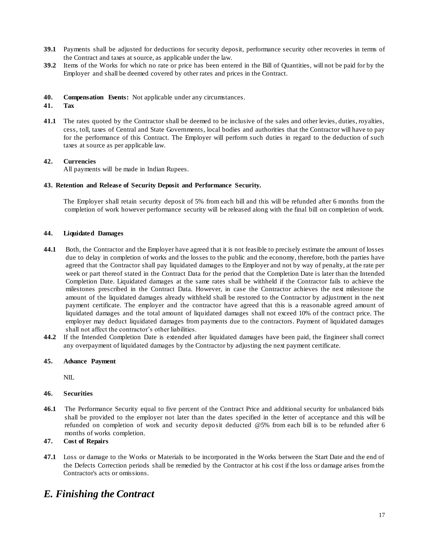- **39.1** Payments shall be adjusted for deductions for security deposit, performance security other recoveries in terms of the Contract and taxes at source, as applicable under the law.
- **39.2** Items of the Works for which no rate or price has been entered in the Bill of Quantities, will not be paid for by the Employer and shall be deemed covered by other rates and prices in the Contract.
- **40. Compensation Events:** Not applicable under any circumstances.

#### **41. Tax**

**41.1** The rates quoted by the Contractor shall be deemed to be inclusive of the sales and other levies, duties, royalties, cess, toll, taxes of Central and State Governments, local bodies and authorities that the Contractor will have to pay for the performance of this Contract. The Employer will perform such duties in regard to the deduction of such taxes at source as per applicable law.

#### **42. Currencies**

All payments will be made in Indian Rupees.

#### **43. Retention and Release of Security Deposit and Performance Security.**

The Employer shall retain security deposit of 5% from each bill and this will be refunded after 6 months from the completion of work however performance security will be released along with the final bill on completion of work.

#### **44. Liquidated Damages**

- **44.1** Both, the Contractor and the Employer have agreed that it is not feasible to precisely estimate the amount of losses due to delay in completion of works and the losses to the public and the economy, therefore, both the parties have agreed that the Contractor shall pay liquidated damages to the Employer and not by way of penalty, at the rate per week or part thereof stated in the Contract Data for the period that the Completion Date is later than the Intended Completion Date. Liquidated damages at the same rates shall be withheld if the Contractor fails to achieve the milestones prescribed in the Contract Data. However, in case the Contractor achieves the next milestone the amount of the liquidated damages already withheld shall be restored to the Contractor by adjustment in the next payment certificate. The employer and the contractor have agreed that this is a reasonable agreed amount of liquidated damages and the total amount of liquidated damages shall not exceed 10% of the contract price. The employer may deduct liquidated damages from payments due to the contractors. Payment of liquidated damages shall not affect the contractor's other liabilities.
- **44.2** If the Intended Completion Date is extended after liquidated damages have been paid, the Engineer shall correct any overpayment of liquidated damages by the Contractor by adjusting the next payment certificate.

#### **45. Advance Payment**

NIL

#### **46. Securities**

**46.1** The Performance Security equal to five percent of the Contract Price and additional security for unbalanced bids shall be provided to the employer not later than the dates specified in the letter of acceptance and this will be refunded on completion of work and security deposit deducted @5% from each bill is to be refunded after 6 months of works completion.

#### **47. Cost of Repairs**

**47.1** Loss or damage to the Works or Materials to be incorporated in the Works between the Start Date and the end of the Defects Correction periods shall be remedied by the Contractor at his cost if the loss or damage arises from the Contractor's acts or omissions.

## *E. Finishing the Contract*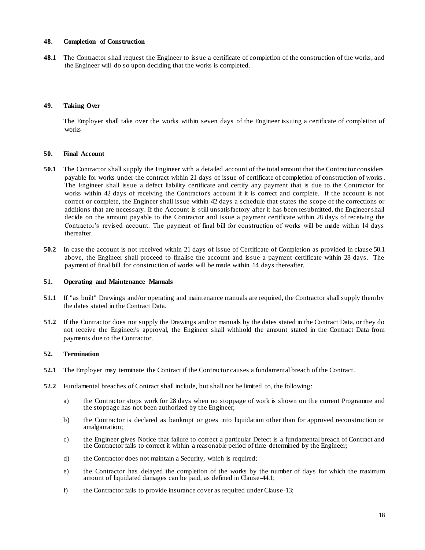#### **48. Completion of Construction**

**48.1** The Contractor shall request the Engineer to issue a certificate of completion of the construction of the works, and the Engineer will do so upon deciding that the works is completed.

#### **49. Taking Over**

The Employer shall take over the works within seven days of the Engineer issuing a certificate of completion of works

#### **50. Final Account**

- **50.1** The Contractor shall supply the Engineer with a detailed account of the total amount that the Contractor considers payable for works under the contract within 21 days of issue of certificate of completion of construction of works. The Engineer shall issue a defect liability certificate and certify any payment that is due to the Contractor for works within 42 days of receiving the Contractor's account if it is correct and complete. If the account is not correct or complete, the Engineer shall issue within 42 days a schedule that states the scope of the corrections or additions that are necessary. If the Account is still unsatisfactory after it has been resubmitted, the Engineer shall decide on the amount payable to the Contractor and issue a payment certificate within 28 days of receiving the Contractor's revised account. The payment of final bill for construction of works will be made within 14 days thereafter.
- **50.2** In case the account is not received within 21 days of issue of Certificate of Completion as provided in clause 50.1 above, the Engineer shall proceed to finalise the account and issue a payment certificate within 28 days. The payment of final bill for construction of works will be made within 14 days thereafter.

#### **51. Operating and Maintenance Manuals**

- **51.1** If "as built" Drawings and/or operating and maintenance manuals are required, the Contractor shall supply them by the dates stated in the Contract Data.
- **51.2** If the Contractor does not supply the Drawings and/or manuals by the dates stated in the Contract Data, or they do not receive the Engineer's approval, the Engineer shall withhold the amount stated in the Contract Data from payments due to the Contractor.

#### **52. Termination**

- **52.1** The Employer may terminate the Contract if the Contractor causes a fundamental breach of the Contract.
- **52.2** Fundamental breaches of Contract shall include, but shall not be limited to, the following:
	- a) the Contractor stops work for 28 days when no stoppage of work is shown on the current Programme and the stoppage has not been authorized by the Engineer;
	- b) the Contractor is declared as bankrupt or goes into liquidation other than for approved reconstruction or amalgamation;
	- c) the Engineer gives Notice that failure to correct a particular Defect is a fundamental breach of Contract and the Contractor fails to correct it within a reasonable period of time determined by the Engineer;
	- d) the Contractor does not maintain a Security, which is required;
	- e) the Contractor has delayed the completion of the works by the number of days for which the maximum amount of liquidated damages can be paid, as defined in Clause-44.1;
	- f) the Contractor fails to provide insurance cover as required under Clause-13;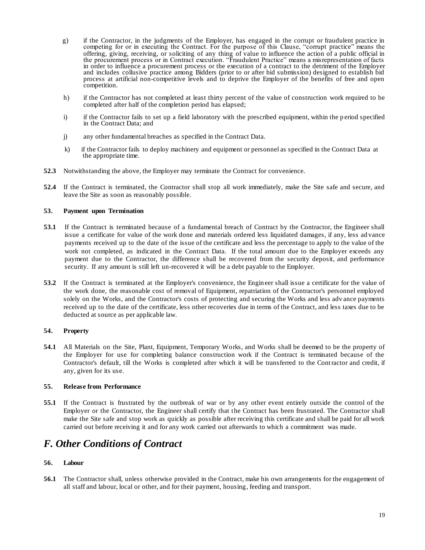- g) if the Contractor, in the judgments of the Employer, has engaged in the corrupt or fraudulent practice in competing for or in executing the Contract. For the purpose of this Clause, "corrupt practice" means the offering, giving, receiving, or soliciting of any thing of value to influence the action of a public official in the procurement process or in Contract execution. "Fraudulent Practice" means a misrepresentation of facts in order to influence a procurement process or the execution of a contract to the detriment of the Employer and includes collusive practice among Bidders (prior to or after bid submission) designed to establish bid process at artificial non-competitive levels and to deprive the Employer of the benefits of free and open competition.
- h) if the Contractor has not completed at least thirty percent of the value of construction work required to be completed after half of the completion period has elapsed;
- i) if the Contractor fails to set up a field laboratory with the prescribed equipment, within the period specified in the Contract Data; and
- j) any other fundamental breaches as specified in the Contract Data.
- k) if the Contractor fails to deploy machinery and equipment or personnel as specified in the Contract Data at the appropriate time.
- **52.3** Notwithstanding the above, the Employer may terminate the Contract for convenience.
- **52.4** If the Contract is terminated, the Contractor shall stop all work immediately, make the Site safe and secure, and leave the Site as soon as reasonably possible.

#### **53. Payment upon Termination**

- **53.1** If the Contract is terminated because of a fundamental breach of Contract by the Contractor, the Engineer shall issue a certificate for value of the work done and materials ordered less liquidated damages, if any, less ad vance payments received up to the date of the issue of the certificate and less the percentage to apply to the value of the work not completed, as indicated in the Contract Data. If the total amount due to the Employer exceeds any payment due to the Contractor, the difference shall be recovered from the security deposit, and performance security. If any amount is still left un-recovered it will be a debt payable to the Employer.
- **53.2** If the Contract is terminated at the Employer's convenience, the Engineer shall issue a certificate for the value of the work done, the reasonable cost of removal of Equipment, repatriation of the Contractor's personnel employed solely on the Works, and the Contractor's costs of protecting and securing the Works and less adv ance payments received up to the date of the certificate, less other recoveries due in terms of the Contract, and less taxes due to be deducted at source as per applicable law.

#### **54. Property**

**54.1** All Materials on the Site, Plant, Equipment, Temporary Works, and Works shall be deemed to be the property of the Employer for use for completing balance construction work if the Contract is terminated because of the Contractor's default, till the Works is completed after which it will be transferred to the Contractor and credit, if any, given for its use.

#### **55. Release from Performance**

**55.1** If the Contract is frustrated by the outbreak of war or by any other event entirely outside the control of the Employer or the Contractor, the Engineer shall certify that the Contract has been frustrated. The Contractor shall make the Site safe and stop work as quickly as possible after receiving this certificate and shall be paid for all work carried out before receiving it and for any work carried out afterwards to which a commitment was made.

## *F. Other Conditions of Contract*

#### **56. Labour**

**56.1** The Contractor shall, unless otherwise provided in the Contract, make his own arrangements for the engagement of all staff and labour, local or other, and for their payment, housing, feeding and transport.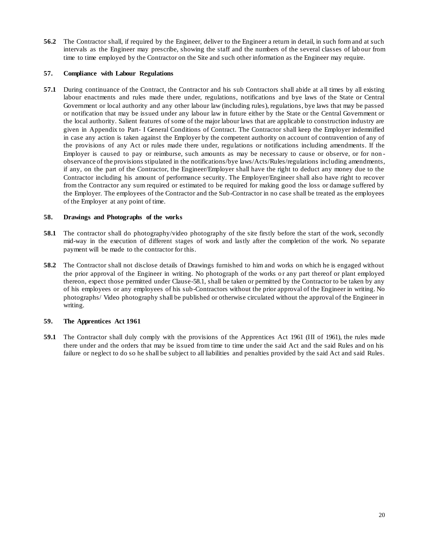**56.2** The Contractor shall, if required by the Engineer, deliver to the Engineer a return in detail, in such form and at such intervals as the Engineer may prescribe, showing the staff and the numbers of the several classes of lab our from time to time employed by the Contractor on the Site and such other information as the Engineer may require.

#### **57. Compliance with Labour Regulations**

**57.1** During continuance of the Contract, the Contractor and his sub Contractors shall abide at all times by all existing labour enactments and rules made there under, regulations, notifications and bye laws of the State or Central Government or local authority and any other labour law (including rules), regulations, bye laws that may be passed or notification that may be issued under any labour law in future either by the State or the Central Government or the local authority. Salient features of some of the major labour laws that are applicable to construction industry are given in Appendix to Part- I General Conditions of Contract. The Contractor shall keep the Employer indemnified in case any action is taken against the Employer by the competent authority on account of contravention of any of the provisions of any Act or rules made there under, regulations or notifications including amendments. If the Employer is caused to pay or reimburse, such amounts as may be necessary to cause or observe, or for non observance of the provisions stipulated in the notifications/bye laws/Acts/Rules/regulations including amendments, if any, on the part of the Contractor, the Engineer/Employer shall have the right to deduct any money due to the Contractor including his amount of performance security. The Employer/Engineer shall also have right to recover from the Contractor any sum required or estimated to be required for making good the loss or damage suffered by the Employer. The employees of the Contractor and the Sub-Contractor in no case shall be treated as the employees of the Employer at any point of time.

#### **58. Drawings and Photographs of the works**

- **58.1** The contractor shall do photography/video photography of the site firstly before the start of the work, secondly mid-way in the execution of different stages of work and lastly after the completion of the work. No separate payment will be made to the contractor for this.
- **58.2** The Contractor shall not disclose details of Drawings furnished to him and works on which he is engaged without the prior approval of the Engineer in writing. No photograph of the works or any part thereof or plant employed thereon, expect those permitted under Clause-58.1, shall be taken or permitted by the Contractor to be taken by any of his employees or any employees of his sub-Contractors without the prior approval of the Engineer in writing. No photographs/ Video photography shall be published or otherwise circulated without the approval of the Engineer in writing.

#### **59. The Apprentices Act 1961**

**59.1** The Contractor shall duly comply with the provisions of the Apprentices Act 1961 (III of 1961), the rules made there under and the orders that may be issued from time to time under the said Act and the said Rules and on his failure or neglect to do so he shall be subject to all liabilities and penalties provided by the said Act and said Rules.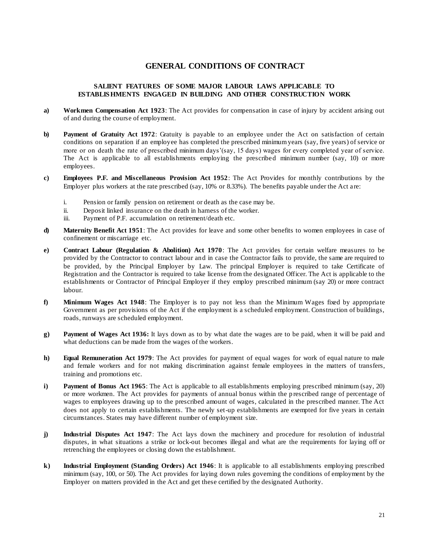#### **GENERAL CONDITIONS OF CONTRACT**

#### **SALIENT FEATURES OF SOME MAJOR LABOUR LAWS APPLICABLE TO ESTABLIS HMENTS ENGAGED IN BUILDING AND OTHER CONSTRUCTION WORK**

- **a) Workmen Compensation Act 1923**: The Act provides for compensation in case of injury by accident arising out of and during the course of employment.
- **b) Payment of Gratuity Act 1972**: Gratuity is payable to an employee under the Act on satisfaction of certain conditions on separation if an employee has completed the prescribed minimum years (say, five years) of service or more or on death the rate of prescribed minimum days'(say, 15 days) wages for every completed year of service. The Act is applicable to all establishments employing the prescribed minimum number (say, 10) or more employees.
- **c) Employees P.F. and Miscellaneous Provision Act 1952**: The Act Provides for monthly contributions by the Employer plus workers at the rate prescribed (say, 10% or 8.33%). The benefits payable under the Act a re:
	- i. Pension or family pension on retirement or death as the case may be.
	- ii. Deposit linked insurance on the death in harness of the worker.
	- iii. Payment of P.F. accumulation on retirement/death etc.
- **d) Maternity Benefit Act 1951**: The Act provides for leave and some other benefits to women employees in case of confinement or miscarriage etc.
- **e) Contract Labour (Regulation & Abolition) Act 1970**: The Act provides for certain welfare measures to be provided by the Contractor to contract labour and in case the Contractor fails to provide, the same are required to be provided, by the Principal Employer by Law. The principal Employer is required to take Certificate of Registration and the Contractor is required to take license from the designated Officer. The Act is applicable to the establishments or Contractor of Principal Employer if they employ prescribed minimum (say 20) or more contract labour.
- **f) Minimum Wages Act 1948**: The Employer is to pay not less than the Minimum Wages fixed by appropriate Government as per provisions of the Act if the employment is a scheduled employment. Construction of buildings, roads, runways are scheduled employment.
- **g) Payment of Wages Act 1936:** It lays down as to by what date the wages are to be paid, when it will be paid and what deductions can be made from the wages of the workers.
- **h) Equal Remuneration Act 1979**: The Act provides for payment of equal wages for work of equal nature to male and female workers and for not making discrimination against female employees in the matters of transfers, training and promotions etc.
- **i) Payment of Bonus Act 1965**: The Act is applicable to all establishments employing prescribed minimum (say, 20) or more workmen. The Act provides for payments of annual bonus within the p rescribed range of percentage of wages to employees drawing up to the prescribed amount of wages, calculated in the prescribed manner. The Act does not apply to certain establishments. The newly set-up establishments are exempted for five years in certain circumstances. States may have different number of employment size.
- **j) Industrial Disputes Act 1947**: The Act lays down the machinery and procedure for resolution of industrial disputes, in what situations a strike or lock-out becomes illegal and what are the requirements for laying off or retrenching the employees or closing down the establishment.
- **k) Industrial Employment (Standing Orders) Act 1946**: It is applicable to all establishments employing prescribed minimum (say, 100, or 50). The Act provides for laying down rules governing the conditions of employment by the Employer on matters provided in the Act and get these certified by the designated Authority.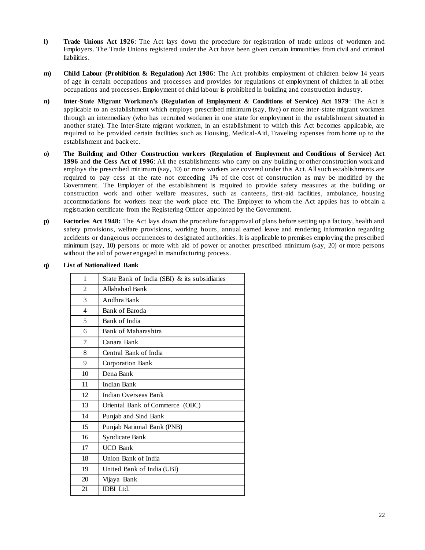- **l) Trade Unions Act 1926**: The Act lays down the procedure for registration of trade unions of workmen and Employers. The Trade Unions registered under the Act have been given certain immunities from civil and criminal liabilities.
- **m) Child Labour (Prohibition & Regulation) Act 1986**: The Act prohibits employment of children below 14 years of age in certain occupations and processes and provides for regulations of employment of children in all other occupations and processes. Employment of child labour is prohibited in building and construction industry.
- **n) Inter-State Migrant Workmen's (Regulation of Employment & Conditions of Service) Act 1979**: The Act is applicable to an establishment which employs prescribed minimum (say, five) or more inter-state migrant workmen through an intermediary (who has recruited workmen in one state for employment in the establishment situated in another state). The Inter-State migrant workmen, in an establishment to which this Act becomes applicable, are required to be provided certain facilities such as Housing, Medical-Aid, Traveling expenses from home up to the establishment and back etc.
- **o) The Building and Other Construction workers (Regulation of Employment and Conditions of Service) Act 1996** and **the Cess Act of 1996**: All the establishments who carry on any building or other construction work and employs the prescribed minimum (say, 10) or more workers are covered under this Act. All such establishments are required to pay cess at the rate not exceeding 1% of the cost of construction as may be modified by the Government. The Employer of the establishment is required to provide safety measures at the building or construction work and other welfare measures, such as canteens, first-aid facilities, ambulance, housing accommodations for workers near the work place etc. The Employer to whom the Act applies has to obt ain a registration certificate from the Registering Officer appointed by the Government.
- **p) Factories Act 1948:** The Act lays down the procedure for approval of plans before setting up a factory, health and safety provisions, welfare provisions, working hours, annual earned leave and rendering information regarding accidents or dangerous occurrences to designated authorities. It is applicable to premises employing the prescribed minimum (say, 10) persons or more with aid of power or another prescribed minimum (say, 20) or more persons without the aid of power engaged in manufacturing process.

| 1                        | State Bank of India (SBI) & its subsidiaries |
|--------------------------|----------------------------------------------|
| $\overline{c}$           | Allahabad Bank                               |
| 3                        | Andhra Bank                                  |
| $\overline{\mathcal{A}}$ | Bank of Baroda                               |
| 5                        | Bank of India                                |
| 6                        | Bank of Maharashtra                          |
| 7                        | Canara Bank                                  |
| 8                        | Central Bank of India                        |
| 9                        | Corporation Bank                             |
| 10                       | Dena Bank                                    |
| 11                       | <b>Indian Bank</b>                           |
| 12                       | Indian Overseas Bank                         |
| 13                       | Oriental Bank of Commerce (OBC)              |
| 14                       | Punjab and Sind Bank                         |
| 15                       | Punjab National Bank (PNB)                   |
| 16                       | Syndicate Bank                               |
| 17                       | <b>UCO</b> Bank                              |
| 18                       | Union Bank of India                          |
| 19                       | United Bank of India (UBI)                   |
| 20                       | Vijaya Bank                                  |
| 21                       | <b>IDBI</b> Ltd.                             |

#### **q) List of Nationalized Bank**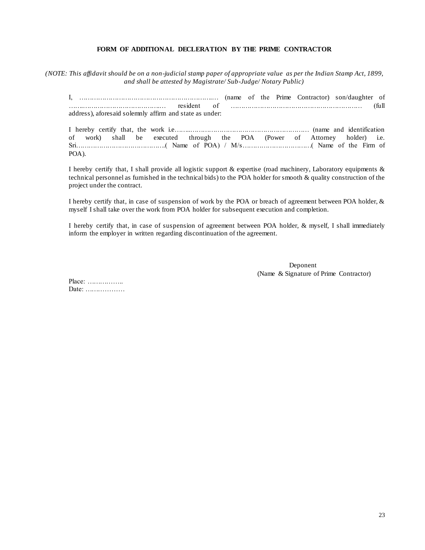#### **FORM OF ADDITIONAL DECLERATION BY THE PRIME CONTRACTOR**

*(NOTE: This affidavit should be on a non-judicial stamp paper of appropriate value as per the Indian Stamp Act, 1899, and shall be attested by Magistrate/ Sub-Judge/ Notary Public)*

|                                                         |  |  | (name of the Prime Contractor) son/daughter of |       |
|---------------------------------------------------------|--|--|------------------------------------------------|-------|
| resident                                                |  |  |                                                | full) |
| address), aforesaid solemnly affirm and state as under: |  |  |                                                |       |

I hereby certify that, the work i.e……..………………………………………………… (name and identification of work) shall be executed through the POA (Power of Attorney holder) i.e. Sri…………………………………….( Name of POA) / M/s……………………………( Name of the Firm of POA).

I hereby certify that, I shall provide all logistic support & expertise (road machinery, Laboratory equipments & technical personnel as furnished in the technical bids) to the POA holder for smooth & quality construction of the project under the contract.

I hereby certify that, in case of suspension of work by the POA or breach of agreement between POA holder, & myself I shall take over the work from POA holder for subsequent execution and completion.

I hereby certify that, in case of suspension of agreement between POA holder, & myself, I shall immediately inform the employer in written regarding discontinuation of the agreement.

> Deponent (Name & Signature of Prime Contractor)

Place: …………….. Date: ………………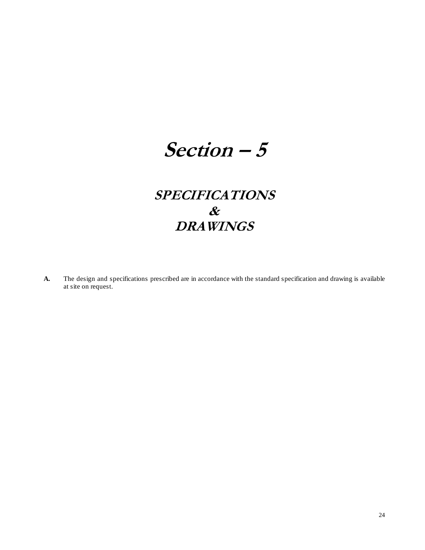# **Section – 5**

## **SPECIFICATIONS & DRAWINGS**

**A.** The design and specifications prescribed are in accordance with the standard specification and drawing is available at site on request.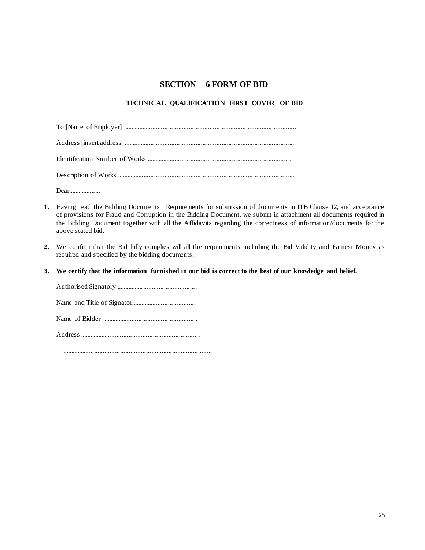### **SECTION – 6 FORM OF BID**

#### **TECHNICAL QUALIFICATION FIRST COVER OF BID**

| $Dear1$ $\ldots$ $\ldots$ $\ldots$ $\ldots$ $\ldots$ |
|------------------------------------------------------|

- **1.** Having read the Bidding Documents , Requirements for submission of documents in ITB Clause 12, and acceptance of provisions for Fraud and Corruption in the Bidding Document, we submit in attachment all documents required in the Bidding Document together with all the Affidavits regarding the correctness of information/documents for the above stated bid.
- **2.** We confirm that the Bid fully complies will all the requirements including the Bid Validity and Earnest Money as required and specified by the bidding documents.
- **3. We certify that the information furnished in our bid is correct to the best of our knowledge and belief.**

Authorised Signatory ............................................... Name and Title of Signator...................................... Name of Bidder ....................................................... Address ......................................................................

.......................................................................................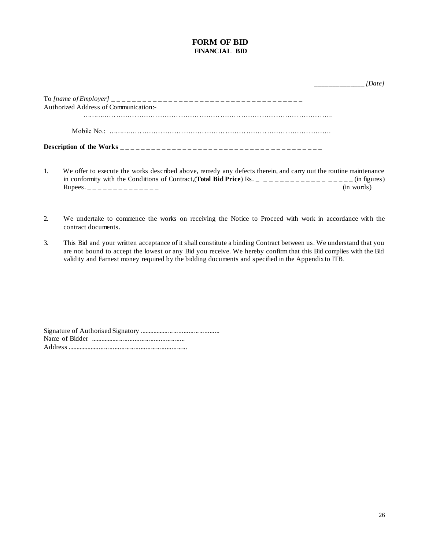#### **FORM OF BID FINANCIAL BID**

| Authorized Address of Communication:- |  |
|---------------------------------------|--|
|                                       |  |
|                                       |  |
|                                       |  |
|                                       |  |

- 1. We offer to execute the works described above, remedy any defects therein, and carry out the routine maintenance in conformity with the Conditions of Contract,(**Total Bid Price**) Rs. \_ \_ \_ \_ \_ \_ \_ \_ \_ \_ \_ \_ \_ \_ \_ (in figures)  $Rupees.$   $\qquad \qquad$  (in words)
- 2. We undertake to commence the works on receiving the Notice to Proceed with work in accordance with the contract documents.
- 3. This Bid and your wr**i**tten acceptance of it shall constitute a binding Contract between us. We understand that you are not bound to accept the lowest or any Bid you receive. We hereby confirm that this Bid complies with the Bid validity and Earnest money required by the bidding documents and specified in the Appendix to ITB.

Signature of Authorised Signatory ............................................... Name of Bidder ....................................................... Address ......................................................................

\_\_\_\_\_\_\_\_\_\_\_\_\_\_ *[Date]*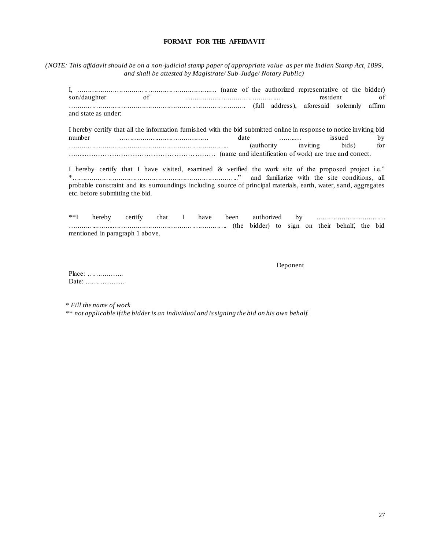#### **FORMAT FOR THE AFFIDAVIT**

*(NOTE: This affidavit should be on a non-judicial stamp paper of appropriate value as per the Indian Stamp Act, 1899, and shall be attested by Magistrate/ Sub-Judge/ Notary Public)*

I, ……………………………………………………….… (name of the authorized representative of the bidder) son/daughter of …….……………………………….… resident of …………………………………………………………………………. (full address), aforesaid solemnly affirm and state as under: I hereby certify that all the information furnished with the bid submitted online in response to notice inviting bid number ……………….…………………… date ……..… issued by ………………………………………………………………….. (authority inviting bids) for ……..………………………………………………… (name and identification of work) are true and correct. I hereby certify that I have visited, examined & verified the work site of the proposed project i.e."

\*…………………………………………………………………….." and familiarize with the site conditions, all probable constraint and its surroundings including source of principal materials, earth, water, sand, aggregates etc. before submitting the bid.

\*\*I hereby certify that I have been authorized by …………………………… …………..……..………………………………………………. (the bidder) to sign on their behalf, the bid mentioned in paragraph 1 above.

Deponent

Place: …………….. Date: ………………

\* *Fill the name of work*

\*\* *not applicable if the bidder is an individual and is signing the bid on his own behalf.*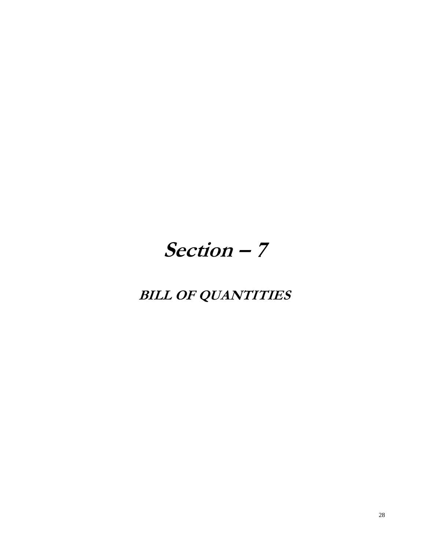# **Section – 7**

## **BILL OF QUANTITIES**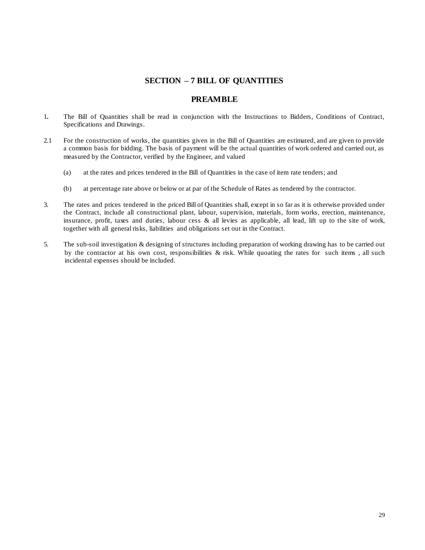#### **SECTION – 7 BILL OF QUANTITIES**

#### **PREAMBLE**

- 1**.** The Bill of Quantities shall be read in conjunction with the Instructions to Bidders, Conditions of Contract, Specifications and Drawings.
- 2.1 For the construction of works, the quantities given in the Bill of Quantities are estimated, and are given to provide a common basis for bidding. The basis of payment will be the actual quantities of work ordered and carried out, as measured by the Contractor, verified by the Engineer, and valued
	- (a) at the rates and prices tendered in the Bill of Quantities in the case of item rate tenders; and
	- (b) at percentage rate above or below or at par of the Schedule of Rates as tendered by the contractor.
- 3. The rates and prices tendered in the priced Bill of Quantities shall, except in so far as it is otherwise provided under the Contract, include all constructional plant, labour, supervision, materials, form works, erection, maintenance, insurance, profit, taxes and duties, labour cess  $\&$  all levies as applicable, all lead, lift up to the site of work, together with all general risks, liabilities and obligations set out in the Contract.
- 5. The sub-soil investigation & designing of structures including preparation of working drawing has to be carried out by the contractor at his own cost, responsibilities & risk. While quoating the rates for such items , all such incidental expenses should be included.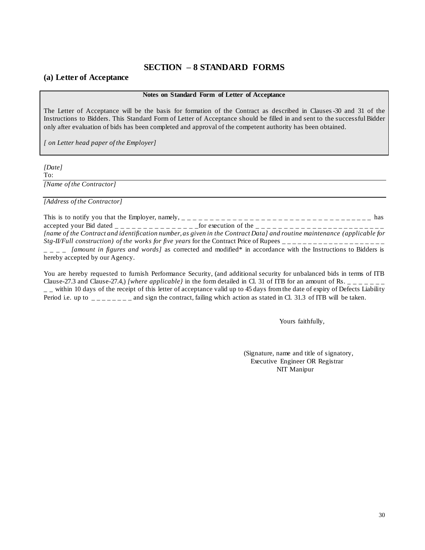#### **SECTION – 8 STANDARD FORMS**

#### **(a) Letter of Acceptance**

#### **Notes on Standard Form of Letter of Acceptance**

The Letter of Acceptance will be the basis for formation of the Contract as described in Clauses-30 and 31 of the Instructions to Bidders. This Standard Form of Letter of Acceptance should be filled in and sent to the successful Bidder only after evaluation of bids has been completed and approval of the competent authority has been obtained.

*[ on Letter head paper of the Employer]*

*[Date]*

To:

*[Name of the Contractor]*

*[Address of the Contractor]*

This is to notify you that the Employer, namely,  $\frac{1}{2}$   $\frac{1}{2}$   $\frac{1}{2}$   $\frac{1}{2}$   $\frac{1}{2}$   $\frac{1}{2}$   $\frac{1}{2}$   $\frac{1}{2}$   $\frac{1}{2}$   $\frac{1}{2}$   $\frac{1}{2}$   $\frac{1}{2}$   $\frac{1}{2}$   $\frac{1}{2}$   $\frac{1}{2}$   $\frac{1}{2}$   $\frac{1}{2}$   $\$ accepted your Bid dated  $\overline{a}$   $\overline{a}$   $\overline{a}$   $\overline{a}$   $\overline{a}$   $\overline{a}$   $\overline{a}$   $\overline{a}$   $\overline{a}$   $\overline{a}$   $\overline{a}$   $\overline{a}$   $\overline{a}$   $\overline{a}$   $\overline{a}$   $\overline{a}$   $\overline{a}$   $\overline{a}$   $\overline{a}$   $\overline{a}$   $\overline{a}$   $\overline{a}$ *[name of the Contract and identification number, as given in the Contract Data] and routine maintenance (applicable for Stg-II/Full construction) of the works for five years* for the Contract Price of Rupees \_ \_ \_ \_ \_ \_ \_ \_ \_ \_ \_ \_ \_ \_ \_ \_ \_ \_ \_ \_

\_ \_ \_ \_ *[amount in figures and words]* as corrected and modified\* in accordance with the Instructions to Bidders is hereby accepted by our Agency.

You are hereby requested to furnish Performance Security, (and additional security for unbalanced bids in terms of ITB Clause-27.3 and Clause-27.4,) *[where applicable]* in the form detailed in Cl. 31 of ITB for an amount of Rs.  $\frac{1}{1-\frac{1}{1-\frac{1}{1-\frac{1}{1-\frac{1}{1-\frac{1}{1-\frac{1}{1-\frac{1}{1-\frac{1}{1-\frac{1}{1-\frac{1}{1-\frac{1}{1-\frac{1}{1-\frac{1}{1-\frac{1}{1-\frac{1}{1-\frac{1}{1-\frac{1}{1-\frac$  $-$  - within 10 days of the receipt of this letter of acceptance valid up to 45 days from the date of expiry of Defects Liability Period i.e. up to  $\overline{\phantom{a}}_{\phantom{a}=-\phantom{a}=-\phantom{a}-}$  and sign the contract, failing which action as stated in Cl. 31.3 of ITB will be taken.

Yours faithfully,

(Signature, name and title of signatory, Executive Engineer OR Registrar NIT Manipur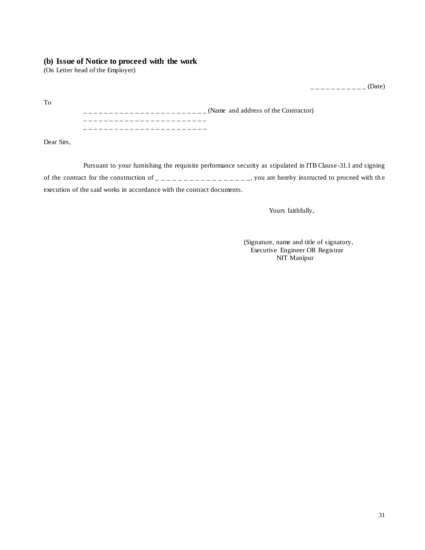#### **(b) Issue of Notice to proceed with the work**

(On Letter head of the Employer)

 $------(Date)$ 

\_ \_ \_ \_ \_ \_ \_ \_ \_ \_ \_ \_ \_ \_ \_ \_ \_ \_ \_ \_ \_ \_ \_ \_ (Name and address of the Contractor) \_ \_ \_ \_ \_ \_ \_ \_ \_ \_ \_ \_ \_ \_ \_ \_ \_ \_ \_ \_ \_ \_ \_ \_ \_ \_ \_ \_ \_ \_ \_ \_ \_ \_ \_ \_ \_ \_ \_ \_ \_ \_ \_ \_ \_ \_ \_ \_

Dear Sirs,

To

Pursuant to your furnishing the requisite performance security as stipulated in ITB Clause -31.1 and signing of the contract for the construction of  $\frac{1}{1}$  =  $\frac{1}{1}$  =  $\frac{1}{1}$  =  $\frac{1}{1}$  =  $\frac{1}{1}$  =  $\frac{1}{1}$  =  $\frac{1}{1}$  =  $\frac{1}{1}$  =  $\frac{1}{1}$  =  $\frac{1}{1}$  =  $\frac{1}{1}$  =  $\frac{1}{1}$  =  $\frac{1}{1}$  =  $\frac{1}{1}$  =  $\frac{1}{1}$  = execution of the said works in accordance with the contract documents.

Yours faithfully,

(Signature, name and title of signatory, Executive Engineer OR Registrar NIT Manipur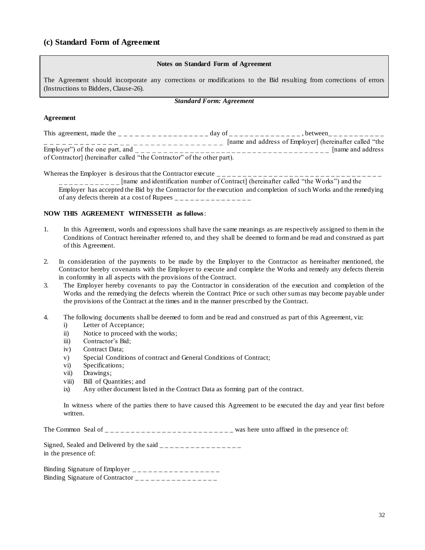#### **(c) Standard Form of Agreement**

#### **Notes on Standard Form of Agreement**

The Agreement should incorporate any corrections or modifications to the Bid resulting from corrections of errors (Instructions to Bidders, Clause-26).

#### *Standard Form: Agreement*

#### **Agreement**

| This agreement, made the                                                | day of | between.                                                |
|-------------------------------------------------------------------------|--------|---------------------------------------------------------|
|                                                                         |        | [name and address of Employer] (hereinafter called "the |
| Employer") of the one part, and                                         |        | Iname and address                                       |
| of Contractor] (hereinafter called "the Contractor" of the other part). |        |                                                         |

Whereas the Employer is desirous that the Contractor execute  $\frac{1}{\sqrt{1-\frac{1}{\sqrt{1-\frac{1}{\sqrt{1-\frac{1}{\sqrt{1-\frac{1}{\sqrt{1-\frac{1}{\sqrt{1-\frac{1}{\sqrt{1-\frac{1}{\sqrt{1-\frac{1}{\sqrt{1-\frac{1}{\sqrt{1-\frac{1}{\sqrt{1-\frac{1}{\sqrt{1-\frac{1}{\sqrt{1-\frac{1}{\sqrt{1-\frac{1}{\sqrt{1-\frac{1}{\sqrt{1-\frac{1}{\sqrt{1-\frac{1}{\$ 

\_ \_ \_ \_ \_ \_ \_ \_ \_ \_ \_ \_ [name and identification number of Contract] (hereinafter called "the Works") and the Employer has accepted the Bid by the Contractor for the execution and completion of such Works and the remedying of any defects therein at a cost of Rupees  $\frac{1}{\sqrt{1-\frac{1}{n}}}$ 

#### **NOW THIS AGREEMENT WITNESSETH as follows**:

- 1. In this Agreement, words and expressions shall have the same meanings as are respectively assigned to them in the Conditions of Contract hereinafter referred to, and they shall be deemed to form and be read and construed as part of this Agreement.
- 2. In consideration of the payments to be made by the Employer to the Contractor as hereinafter mentioned, the Contractor hereby covenants with the Employer to execute and complete the Works and remedy any defects therein in conformity in all aspects with the provisions of the Contract.
- 3. The Employer hereby covenants to pay the Contractor in consideration of the execution and completion of the Works and the remedying the defects wherein the Contract Price or such other sum as may become payable under the provisions of the Contract at the times and in the manner prescribed by the Contract.
- 4. The following documents shall be deemed to form and be read and construed as part of this Agreement, viz:
	- i) Letter of Acceptance;
	- ii) Notice to proceed with the works;
	- iii) Contractor's Bid;
	- iv) Contract Data;
	- v) Special Conditions of contract and General Conditions of Contract;
	- vi) Specifications;
	- vii) Drawings;
	- viii) Bill of Quantities; and
	- ix) Any other document listed in the Contract Data as forming part of the contract.

In witness where of the parties there to have caused this Agreement to be executed the day and year first before written.

The Common Seal of  $\overline{\phantom{a}}$   $\overline{\phantom{a}}$   $\overline{\phantom{a}}$  =  $\overline{\phantom{a}}$  =  $\overline{\phantom{a}}$  =  $\overline{\phantom{a}}$  =  $\overline{\phantom{a}}$  =  $\overline{\phantom{a}}$  =  $\overline{\phantom{a}}$  was here unto affixed in the presence of:

Signed, Sealed and Delivered by the said  $\frac{1}{2}$ in the presence of:

Binding Signature of Employer \_ \_ \_ \_ \_ \_ \_ \_ \_ \_ \_ \_ \_ \_ \_ \_ \_ Binding Signature of Contractor \_ \_ \_ \_ \_ \_ \_ \_ \_ \_ \_ \_ \_ \_ \_ \_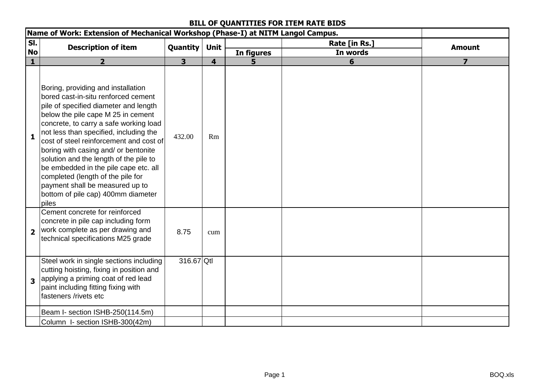### **BILL OF QUANTITIES FOR ITEM RATE BIDS**

|                         | Name of Work: Extension of Mechanical Workshop (Phase-I) at NITM Langol Campus.                                                                                                                                                                                                                                                                                                                                                                                                                                                           |                         |                         |            |               |                |
|-------------------------|-------------------------------------------------------------------------------------------------------------------------------------------------------------------------------------------------------------------------------------------------------------------------------------------------------------------------------------------------------------------------------------------------------------------------------------------------------------------------------------------------------------------------------------------|-------------------------|-------------------------|------------|---------------|----------------|
| SI.                     | <b>Description of item</b>                                                                                                                                                                                                                                                                                                                                                                                                                                                                                                                | Quantity                | Unit                    |            | Rate [in Rs.] | <b>Amount</b>  |
| <b>No</b>               |                                                                                                                                                                                                                                                                                                                                                                                                                                                                                                                                           |                         |                         | In figures | In words      |                |
| $\mathbf{1}$            | $\overline{2}$                                                                                                                                                                                                                                                                                                                                                                                                                                                                                                                            | $\overline{\mathbf{3}}$ | $\overline{\mathbf{4}}$ | 5          | 6             | $\overline{ }$ |
| $\mathbf{1}$            | Boring, providing and installation<br>bored cast-in-situ renforced cement<br>pile of specified diameter and length<br>below the pile cape M 25 in cement<br>concrete, to carry a safe working load<br>not less than specified, including the<br>cost of steel reinforcement and cost of<br>boring with casing and/ or bentonite<br>solution and the length of the pile to<br>be embedded in the pile cape etc. all<br>completed (length of the pile for<br>payment shall be measured up to<br>bottom of pile cap) 400mm diameter<br>piles | 432.00                  | Rm                      |            |               |                |
| $\overline{\mathbf{2}}$ | Cement concrete for reinforced<br>concrete in pile cap including form<br>work complete as per drawing and<br>technical specifications M25 grade                                                                                                                                                                                                                                                                                                                                                                                           | 8.75                    | cum                     |            |               |                |
| $\overline{\mathbf{3}}$ | Steel work in single sections including<br>cutting hoisting, fixing in position and<br>applying a priming coat of red lead<br>paint including fitting fixing with<br>fasteners /rivets etc                                                                                                                                                                                                                                                                                                                                                | 316.67 Qtl              |                         |            |               |                |
|                         | Beam I- section ISHB-250(114.5m)                                                                                                                                                                                                                                                                                                                                                                                                                                                                                                          |                         |                         |            |               |                |
|                         | Column I- section ISHB-300(42m)                                                                                                                                                                                                                                                                                                                                                                                                                                                                                                           |                         |                         |            |               |                |